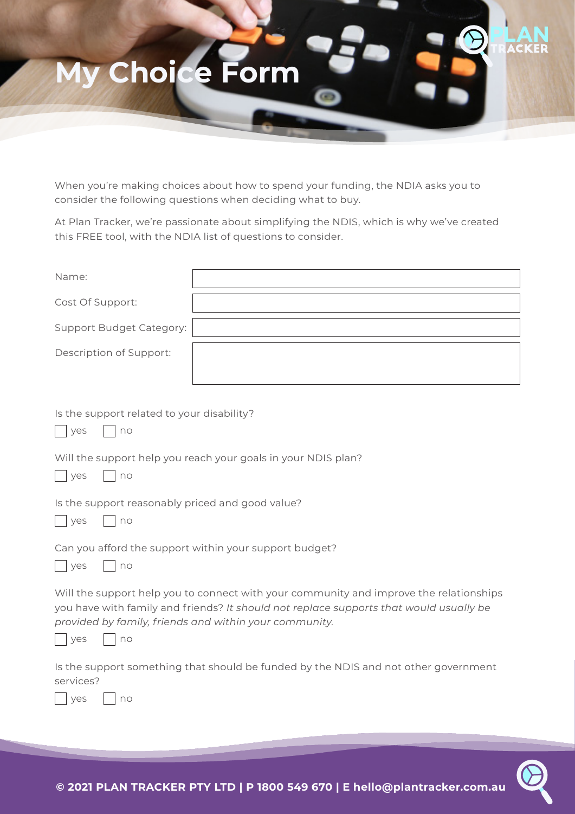

When you're making choices about how to spend your funding, the NDIA asks you to consider the following questions when deciding what to buy.

At Plan Tracker, we're passionate about simplifying the NDIS, which is why we've created this FREE tool, with the NDIA list of questions to consider.

| Name:                    |  |
|--------------------------|--|
| Cost Of Support:         |  |
| Support Budget Category: |  |
| Description of Support:  |  |
|                          |  |

Is the support related to your disability?

|  | $\sim$ |  |  |
|--|--------|--|--|
|--|--------|--|--|

Will the support help you reach your goals in your NDIS plan?

| $\sqrt{2}$ |  | $\cap$<br>$\sim$ |
|------------|--|------------------|
|------------|--|------------------|

Is the support reasonably priced and good value?

|  | $\sqrt{2}$<br>v<br>$\sim$ |  |  | ገጠ |
|--|---------------------------|--|--|----|
|--|---------------------------|--|--|----|

Can you afford the support within your support budget?

|  |  | $\sim$ |
|--|--|--------|
|--|--|--------|

Will the support help you to connect with your community and improve the relationships you have with family and friends? *It should not replace supports that would usually be provided by family, friends and within your community.*

| $\sim$ |  | $\sim$ |
|--------|--|--------|
|--------|--|--------|

 $\Box$ 

Is the support something that should be funded by the NDIS and not other government services?

| $\sim$ | $\sim$ |
|--------|--------|
|--------|--------|